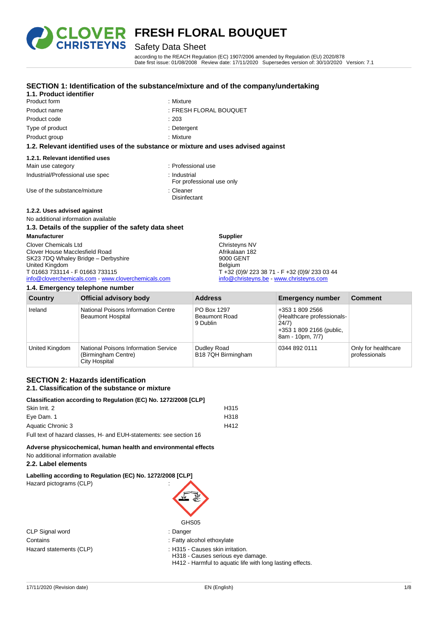

Product form : Nixture : Mixture

**1.1. Product identifier**

# **OVER FRESH FLORAL BOUQUET**

# Safety Data Sheet

**SECTION 1: Identification of the substance/mixture and of the company/undertaking**

according to the REACH Regulation (EC) 1907/2006 amended by Regulation (EU) 2020/878 Date first issue: 01/08/2008 Review date: 17/11/2020 Supersedes version of: 30/10/2020 Version: 7.1

| Product name                                          | : FRESH FLORAL BOUQUET                                                             |
|-------------------------------------------------------|------------------------------------------------------------------------------------|
| Product code                                          | :203                                                                               |
| Type of product                                       | : Detergent                                                                        |
| Product group                                         | : Mixture                                                                          |
|                                                       | 1.2. Relevant identified uses of the substance or mixture and uses advised against |
| 1.2.1. Relevant identified uses                       |                                                                                    |
| Main use category                                     | : Professional use                                                                 |
| Industrial/Professional use spec                      | : Industrial<br>For professional use only                                          |
| Use of the substance/mixture                          | : Cleaner<br>Disinfectant                                                          |
| 1.2.2. Uses advised against                           |                                                                                    |
| No additional information available                   |                                                                                    |
| 1.3. Details of the supplier of the safety data sheet |                                                                                    |

| <b>Manufacturer</b>                                | <b>Supplier</b>                               |
|----------------------------------------------------|-----------------------------------------------|
| <b>Clover Chemicals Ltd</b>                        | Christeyns NV                                 |
| Clover House Macclesfield Road                     | Afrikalaan 182                                |
| SK23 7DQ Whaley Bridge - Derbyshire                | 9000 GENT                                     |
| United Kingdom                                     | Belgium                                       |
| T 01663 733114 - F 01663 733115                    | T +32 (0)9/ 223 38 71 - F +32 (0)9/ 233 03 44 |
| info@cloverchemicals.com - www.cloverchemicals.com | info@christeyns.be - www.christeyns.com       |

#### **1.4. Emergency telephone number**

| Country        | <b>Official advisory body</b>                                                       | <b>Address</b>                                  | <b>Emergency number</b>                                                                                | <b>Comment</b>                       |
|----------------|-------------------------------------------------------------------------------------|-------------------------------------------------|--------------------------------------------------------------------------------------------------------|--------------------------------------|
| Ireland        | National Poisons Information Centre<br><b>Beaumont Hospital</b>                     | PO Box 1297<br><b>Beaumont Road</b><br>9 Dublin | +353 1 809 2566<br>(Healthcare professionals-<br>24/7)<br>+353 1 809 2166 (public,<br>8am - 10pm, 7/7) |                                      |
| United Kingdom | National Poisons Information Service<br>(Birmingham Centre)<br><b>City Hospital</b> | Dudley Road<br>B18 7QH Birmingham               | 0344 892 0111                                                                                          | Only for healthcare<br>professionals |

#### **SECTION 2: Hazards identification 2.1. Classification of the substance or mixture**

| Classification according to Regulation (EC) No. 1272/2008 [CLP]    |      |  |
|--------------------------------------------------------------------|------|--|
| Skin Irrit, 2                                                      | H315 |  |
| Eye Dam. 1                                                         | H318 |  |
| Aquatic Chronic 3                                                  | H412 |  |
| Full text of hazard classes, H- and EUH-statements: see section 16 |      |  |

**Adverse physicochemical, human health and environmental effects** No additional information available

#### **2.2. Label elements**

| Labelling according to Regulation (EC) No. 1272/2008 [CLP] |  |
|------------------------------------------------------------|--|
| $\mu_{\text{exact}}$ pictograme $(\text{C} \mid \text{D})$ |  |

Hazard pictograms (CLP) :

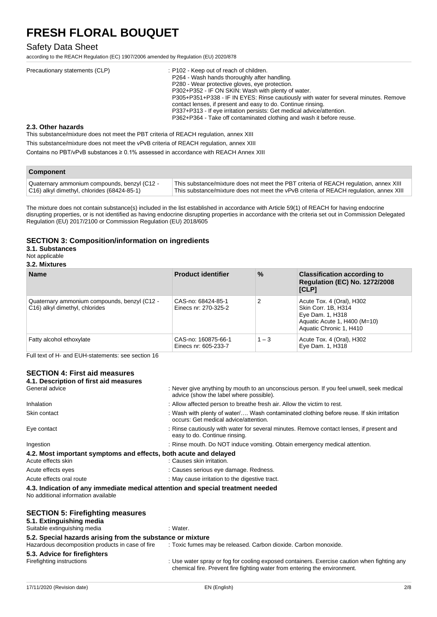### Safety Data Sheet

according to the REACH Regulation (EC) 1907/2006 amended by Regulation (EU) 2020/878

| Precautionary statements (CLP) | : P102 - Keep out of reach of children.<br>P264 - Wash hands thoroughly after handling.<br>P280 - Wear protective gloves, eye protection.<br>P302+P352 - IF ON SKIN: Wash with plenty of water.                                                                                                       |
|--------------------------------|-------------------------------------------------------------------------------------------------------------------------------------------------------------------------------------------------------------------------------------------------------------------------------------------------------|
|                                | P305+P351+P338 - IF IN EYES: Rinse cautiously with water for several minutes. Remove<br>contact lenses, if present and easy to do. Continue rinsing.<br>P337+P313 - If eye irritation persists: Get medical advice/attention.<br>P362+P364 - Take off contaminated clothing and wash it before reuse. |

#### **2.3. Other hazards**

This substance/mixture does not meet the PBT criteria of REACH regulation, annex XIII This substance/mixture does not meet the vPvB criteria of REACH regulation, annex XIII

Contains no PBT/vPvB substances ≥ 0.1% assessed in accordance with REACH Annex XIII

| <b>Component</b>                                |                                                                                        |
|-------------------------------------------------|----------------------------------------------------------------------------------------|
| Quaternary ammonium compounds, benzyl (C12 -    | This substance/mixture does not meet the PBT criteria of REACH regulation, annex XIII  |
| $ C16$ ) alkyl dimethyl, chlorides (68424-85-1) | This substance/mixture does not meet the vPvB criteria of REACH regulation, annex XIII |

The mixture does not contain substance(s) included in the list established in accordance with Article 59(1) of REACH for having endocrine disrupting properties, or is not identified as having endocrine disrupting properties in accordance with the criteria set out in Commission Delegated Regulation (EU) 2017/2100 or Commission Regulation (EU) 2018/605

#### **SECTION 3: Composition/information on ingredients**

### **3.1. Substances**

# Not applicable

| 3.2. Mixtures |  |
|---------------|--|
|               |  |

| <b>Name</b>                                                                    | <b>Product identifier</b>                   | $\%$    | <b>Classification according to</b><br><b>Regulation (EC) No. 1272/2008</b><br>[CLP]                                             |
|--------------------------------------------------------------------------------|---------------------------------------------|---------|---------------------------------------------------------------------------------------------------------------------------------|
| Quaternary ammonium compounds, benzyl (C12 -<br>C16) alkyl dimethyl, chlorides | CAS-no: 68424-85-1<br>Einecs nr: 270-325-2  |         | Acute Tox. 4 (Oral), H302<br>Skin Corr. 1B, H314<br>Eye Dam. 1, H318<br>Aquatic Acute 1, H400 (M=10)<br>Aquatic Chronic 1, H410 |
| Fatty alcohol ethoxylate                                                       | CAS-no: 160875-66-1<br>Einecs nr. 605-233-7 | $1 - 3$ | Acute Tox. 4 (Oral), H302<br>Eye Dam. 1, H318                                                                                   |

Full text of H- and EUH-statements: see section 16

#### **SECTION 4: First aid measures 4.1. Description of first aid measures**

| 7. Deseription or mot ald measures                                                                                     |                                                                                                                                      |
|------------------------------------------------------------------------------------------------------------------------|--------------------------------------------------------------------------------------------------------------------------------------|
| General advice                                                                                                         | : Never give anything by mouth to an unconscious person. If you feel unwell, seek medical<br>advice (show the label where possible). |
| Inhalation                                                                                                             | : Allow affected person to breathe fresh air. Allow the victim to rest.                                                              |
| Skin contact                                                                                                           | : Wash with plenty of water/ Wash contaminated clothing before reuse. If skin irritation<br>occurs: Get medical advice/attention.    |
| Eye contact                                                                                                            | : Rinse cautiously with water for several minutes. Remove contact lenses, if present and<br>easy to do. Continue rinsing.            |
| Ingestion                                                                                                              | : Rinse mouth. Do NOT induce vomiting. Obtain emergency medical attention.                                                           |
| 4.2. Most important symptoms and effects, both acute and delayed                                                       |                                                                                                                                      |
| Acute effects skin                                                                                                     | : Causes skin irritation.                                                                                                            |
| Acute effects eyes                                                                                                     | : Causes serious eye damage. Redness.                                                                                                |
| Acute effects oral route                                                                                               | : May cause irritation to the digestive tract.                                                                                       |
| 4.3. Indication of any immediate medical attention and special treatment needed<br>No additional information available |                                                                                                                                      |
| <b>SECTION 5: Firefighting measures</b><br>5.1. Extinguishing media                                                    |                                                                                                                                      |
| Suitable extinguishing media                                                                                           | : Water.                                                                                                                             |
| 5.2. Special hazards arising from the substance or mixture                                                             |                                                                                                                                      |

Hazardous decomposition products in case of fire : Toxic fumes may be released. Carbon dioxide. Carbon monoxide.

# **5.3. Advice for firefighters**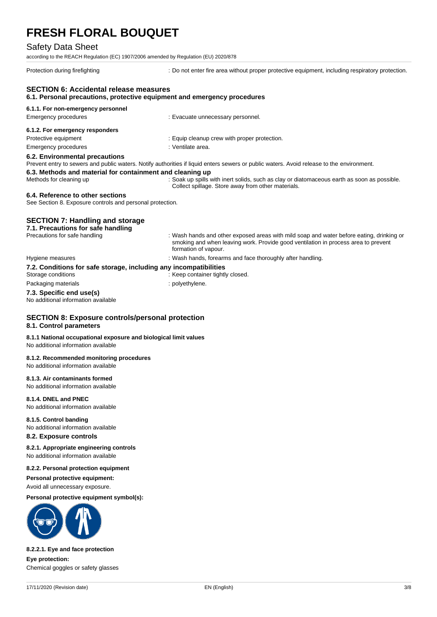### Safety Data Sheet

according to the REACH Regulation (EC) 1907/2006 amended by Regulation (EU) 2020/878

Protection during firefighting : Do not enter fire area without proper protective equipment, including respiratory protection.

# **SECTION 6: Accidental release measures 6.1. Personal precautions, protective equipment and emergency procedures 6.1.1. For non-emergency personnel** Emergency procedures **in the example of the Contract Evacuate unnecessary personnel. 6.1.2. For emergency responders** Protective equipment **interest in the contract of the Contract Contract Contract Contract Contract Contract Contract Contract Contract Contract Contract Contract Contract Contract Contract Contract Contract Contract Contra** Emergency procedures in the state of the state of the Senate Senate area. **6.2. Environmental precautions** Prevent entry to sewers and public waters. Notify authorities if liquid enters sewers or public waters. Avoid release to the environment. **6.3. Methods and material for containment and cleaning up** Methods for cleaning up : Soak up spills with inert solids, such as clay or diatomaceous earth as soon as possible. Collect spillage. Store away from other materials. **6.4. Reference to other sections** See Section 8. Exposure controls and personal protection. **SECTION 7: Handling and storage 7.1. Precautions for safe handling** Precautions for safe handling : Wash hands and other exposed areas with mild soap and water before eating, drinking or smoking and when leaving work. Provide good ventilation in process area to prevent formation of vapour. Hygiene measures **in the state of the state of the state of the state of the state of the state of the state of the state of the state of the state of the state of the state of the state of the state of the state of the st 7.2. Conditions for safe storage, including any incompatibilities** Storage conditions : Keep container tightly closed. Packaging materials **Example 20** and the polyethylene. **7.3. Specific end use(s)** No additional information available **SECTION 8: Exposure controls/personal protection 8.1. Control parameters 8.1.1 National occupational exposure and biological limit values** No additional information available **8.1.2. Recommended monitoring procedures** No additional information available **8.1.3. Air contaminants formed** No additional information available **8.1.4. DNEL and PNEC** No additional information available **8.1.5. Control banding** No additional information available **8.2. Exposure controls 8.2.1. Appropriate engineering controls** No additional information available **8.2.2. Personal protection equipment Personal protective equipment:** Avoid all unnecessary exposure. **Personal protective equipment symbol(s): 8.2.2.1. Eye and face protection**

**Eye protection:** Chemical goggles or safety glasses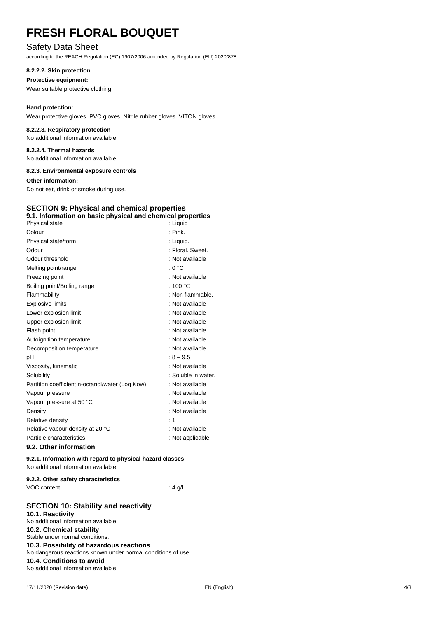# Safety Data Sheet

according to the REACH Regulation (EC) 1907/2006 amended by Regulation (EU) 2020/878

#### **8.2.2.2. Skin protection**

#### **Protective equipment:**

Wear suitable protective clothing

#### **Hand protection:**

Wear protective gloves. PVC gloves. Nitrile rubber gloves. VITON gloves

#### **8.2.2.3. Respiratory protection**

No additional information available

#### **8.2.2.4. Thermal hazards** No additional information available

**8.2.3. Environmental exposure controls**

### **Other information:**

Do not eat, drink or smoke during use.

# **SECTION 9: Physical and chemical properties**

| 9.1. Information on basic physical and chemical properties |                     |  |  |
|------------------------------------------------------------|---------------------|--|--|
| Physical state                                             | : Liquid            |  |  |
| Colour                                                     | : Pink.             |  |  |
| Physical state/form                                        | : Liquid.           |  |  |
| Odour                                                      | : Floral. Sweet.    |  |  |
| Odour threshold                                            | : Not available     |  |  |
| Melting point/range                                        | : 0 °C              |  |  |
| Freezing point                                             | : Not available     |  |  |
| Boiling point/Boiling range                                | : 100 $\degree$ C   |  |  |
| Flammability                                               | : Non flammable.    |  |  |
| <b>Explosive limits</b>                                    | : Not available     |  |  |
| Lower explosion limit                                      | : Not available     |  |  |
| Upper explosion limit                                      | : Not available     |  |  |
| Flash point                                                | : Not available     |  |  |
| Autoignition temperature                                   | : Not available     |  |  |
| Decomposition temperature                                  | : Not available     |  |  |
| pH                                                         | $: 8 - 9.5$         |  |  |
| Viscosity, kinematic                                       | : Not available     |  |  |
| Solubility                                                 | : Soluble in water. |  |  |
| Partition coefficient n-octanol/water (Log Kow)            | : Not available     |  |  |
| Vapour pressure                                            | : Not available     |  |  |
| Vapour pressure at 50 °C                                   | : Not available     |  |  |
| Density                                                    | : Not available     |  |  |
| Relative density                                           | $\div$ 1            |  |  |
| Relative vapour density at 20 °C                           | : Not available     |  |  |
| Particle characteristics                                   | : Not applicable    |  |  |
|                                                            |                     |  |  |

#### **9.2. Other information**

#### **9.2.1. Information with regard to physical hazard classes** No additional information available

| 9.2.2. Other safety characteristics |          |
|-------------------------------------|----------|
| VOC content                         | $: 4$ g/ |

#### **SECTION 10: Stability and reactivity**

**10.1. Reactivity** No additional information available **10.2. Chemical stability** Stable under normal conditions. **10.3. Possibility of hazardous reactions** No dangerous reactions known under normal conditions of use. **10.4. Conditions to avoid** No additional information available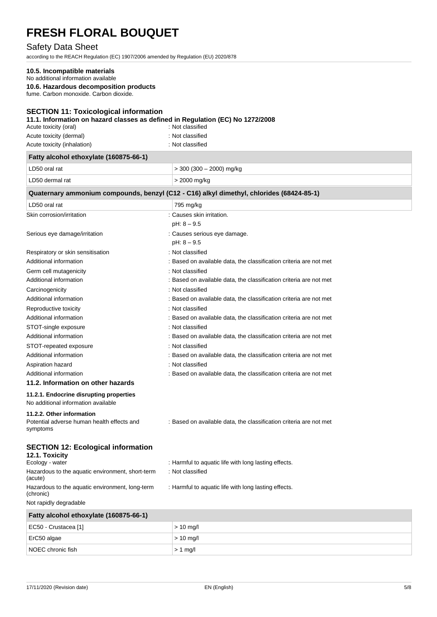# Safety Data Sheet

according to the REACH Regulation (EC) 1907/2006 amended by Regulation (EU) 2020/878

### **10.5. Incompatible materials**

No additional information available

**10.6. Hazardous decomposition products**

fume. Carbon monoxide. Carbon dioxide.

### **SECTION 11: Toxicological information**

#### **11.1. Information on hazard classes as defined in Regulation (EC) No 1272/2008**

| Acute toxicity (oral)       | : Not classified |
|-----------------------------|------------------|
| Acute toxicity (dermal)     | : Not classified |
| Acute toxicity (inhalation) | : Not classified |

| Fatty alcohol ethoxylate (160875-66-1)                                              |                                                                                          |
|-------------------------------------------------------------------------------------|------------------------------------------------------------------------------------------|
| LD50 oral rat                                                                       | $>$ 300 (300 $-$ 2000) mg/kg                                                             |
| LD50 dermal rat                                                                     | > 2000 mg/kg                                                                             |
|                                                                                     | Quaternary ammonium compounds, benzyl (C12 - C16) alkyl dimethyl, chlorides (68424-85-1) |
| LD50 oral rat                                                                       | 795 mg/kg                                                                                |
| Skin corrosion/irritation                                                           | : Causes skin irritation.<br>$pH: 8 - 9.5$                                               |
| Serious eye damage/irritation                                                       | : Causes serious eye damage.<br>$pH: 8 - 9.5$                                            |
| Respiratory or skin sensitisation                                                   | : Not classified                                                                         |
| Additional information                                                              | : Based on available data, the classification criteria are not met                       |
| Germ cell mutagenicity                                                              | : Not classified                                                                         |
| Additional information                                                              | : Based on available data, the classification criteria are not met                       |
| Carcinogenicity                                                                     | : Not classified                                                                         |
| Additional information                                                              | : Based on available data, the classification criteria are not met                       |
| Reproductive toxicity                                                               | : Not classified                                                                         |
| Additional information                                                              | : Based on available data, the classification criteria are not met                       |
| STOT-single exposure                                                                | : Not classified                                                                         |
| Additional information                                                              | : Based on available data, the classification criteria are not met                       |
| STOT-repeated exposure                                                              | : Not classified                                                                         |
| Additional information                                                              | : Based on available data, the classification criteria are not met                       |
| Aspiration hazard                                                                   | : Not classified                                                                         |
| Additional information                                                              | : Based on available data, the classification criteria are not met                       |
| 11.2. Information on other hazards                                                  |                                                                                          |
| 11.2.1. Endocrine disrupting properties<br>No additional information available      |                                                                                          |
| 11.2.2. Other information<br>Potential adverse human health effects and<br>symptoms | : Based on available data, the classification criteria are not met                       |
| <b>SECTION 12: Ecological information</b><br>12.1. Toxicity<br>Ecology - water      | : Harmful to aquatic life with long lasting effects.                                     |
| Hazardous to the aquatic environment, short-term<br>(acute)                         | : Not classified                                                                         |
| Hazardous to the aquatic environment, long-term<br>(chronic)                        | : Harmful to aquatic life with long lasting effects.                                     |

Not rapidly degradable

| Fatty alcohol ethoxylate (160875-66-1) |             |  |
|----------------------------------------|-------------|--|
| EC50 - Crustacea [1]                   | $> 10$ mg/l |  |
| $\vert$ ErC50 algae                    | $> 10$ mg/l |  |
| NOEC chronic fish                      | $> 1$ mg/   |  |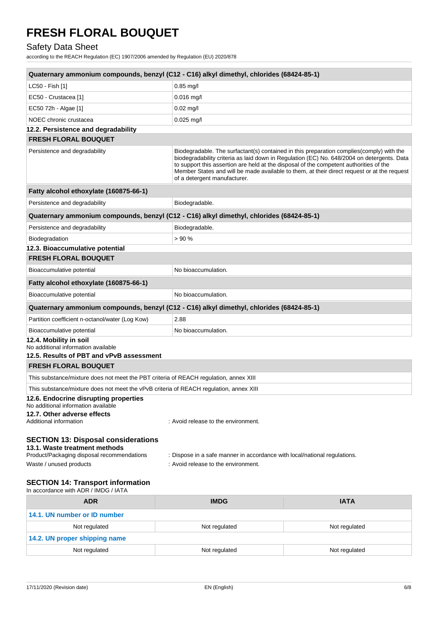# Safety Data Sheet

according to the REACH Regulation (EC) 1907/2006 amended by Regulation (EU) 2020/878

| Quaternary ammonium compounds, benzyl (C12 - C16) alkyl dimethyl, chlorides (68424-85-1)                                                                                                               |                                                                                                                        |                                                                                                                                                                                                                                                                                       |
|--------------------------------------------------------------------------------------------------------------------------------------------------------------------------------------------------------|------------------------------------------------------------------------------------------------------------------------|---------------------------------------------------------------------------------------------------------------------------------------------------------------------------------------------------------------------------------------------------------------------------------------|
| LC50 - Fish [1]                                                                                                                                                                                        | $0.85$ mg/l                                                                                                            |                                                                                                                                                                                                                                                                                       |
| EC50 - Crustacea [1]                                                                                                                                                                                   | $0.016$ mg/l                                                                                                           |                                                                                                                                                                                                                                                                                       |
| EC50 72h - Algae [1]                                                                                                                                                                                   | $0.02$ mg/l                                                                                                            |                                                                                                                                                                                                                                                                                       |
| NOEC chronic crustacea                                                                                                                                                                                 | $0.025$ mg/l                                                                                                           |                                                                                                                                                                                                                                                                                       |
| 12.2. Persistence and degradability                                                                                                                                                                    |                                                                                                                        |                                                                                                                                                                                                                                                                                       |
| <b>FRESH FLORAL BOUQUET</b>                                                                                                                                                                            |                                                                                                                        |                                                                                                                                                                                                                                                                                       |
| Persistence and degradability                                                                                                                                                                          | to support this assertion are held at the disposal of the competent authorities of the<br>of a detergent manufacturer. | Biodegradable. The surfactant(s) contained in this preparation complies(comply) with the<br>biodegradability criteria as laid down in Regulation (EC) No. 648/2004 on detergents. Data<br>Member States and will be made available to them, at their direct request or at the request |
| Fatty alcohol ethoxylate (160875-66-1)                                                                                                                                                                 |                                                                                                                        |                                                                                                                                                                                                                                                                                       |
| Persistence and degradability                                                                                                                                                                          | Biodegradable.                                                                                                         |                                                                                                                                                                                                                                                                                       |
| Quaternary ammonium compounds, benzyl (C12 - C16) alkyl dimethyl, chlorides (68424-85-1)                                                                                                               |                                                                                                                        |                                                                                                                                                                                                                                                                                       |
| Persistence and degradability                                                                                                                                                                          | Biodegradable.                                                                                                         |                                                                                                                                                                                                                                                                                       |
| Biodegradation                                                                                                                                                                                         | >90%                                                                                                                   |                                                                                                                                                                                                                                                                                       |
| 12.3. Bioaccumulative potential                                                                                                                                                                        |                                                                                                                        |                                                                                                                                                                                                                                                                                       |
| <b>FRESH FLORAL BOUQUET</b>                                                                                                                                                                            |                                                                                                                        |                                                                                                                                                                                                                                                                                       |
| Bioaccumulative potential                                                                                                                                                                              | No bioaccumulation.                                                                                                    |                                                                                                                                                                                                                                                                                       |
| Fatty alcohol ethoxylate (160875-66-1)                                                                                                                                                                 |                                                                                                                        |                                                                                                                                                                                                                                                                                       |
| Bioaccumulative potential                                                                                                                                                                              | No bioaccumulation.                                                                                                    |                                                                                                                                                                                                                                                                                       |
| Quaternary ammonium compounds, benzyl (C12 - C16) alkyl dimethyl, chlorides (68424-85-1)                                                                                                               |                                                                                                                        |                                                                                                                                                                                                                                                                                       |
| Partition coefficient n-octanol/water (Log Kow)                                                                                                                                                        | 2.88                                                                                                                   |                                                                                                                                                                                                                                                                                       |
| Bioaccumulative potential                                                                                                                                                                              | No bioaccumulation.                                                                                                    |                                                                                                                                                                                                                                                                                       |
| 12.4. Mobility in soil<br>No additional information available                                                                                                                                          |                                                                                                                        |                                                                                                                                                                                                                                                                                       |
| 12.5. Results of PBT and vPvB assessment                                                                                                                                                               |                                                                                                                        |                                                                                                                                                                                                                                                                                       |
| <b>FRESH FLORAL BOUQUET</b>                                                                                                                                                                            |                                                                                                                        |                                                                                                                                                                                                                                                                                       |
| This substance/mixture does not meet the PBT criteria of REACH regulation, annex XIII                                                                                                                  |                                                                                                                        |                                                                                                                                                                                                                                                                                       |
| This substance/mixture does not meet the vPvB criteria of REACH regulation, annex XIII                                                                                                                 |                                                                                                                        |                                                                                                                                                                                                                                                                                       |
| 12.6. Endocrine disrupting properties<br>No additional information available                                                                                                                           |                                                                                                                        |                                                                                                                                                                                                                                                                                       |
| 12.7. Other adverse effects                                                                                                                                                                            |                                                                                                                        |                                                                                                                                                                                                                                                                                       |
| Additional information                                                                                                                                                                                 | : Avoid release to the environment.                                                                                    |                                                                                                                                                                                                                                                                                       |
| <b>SECTION 13: Disposal considerations</b><br>13.1. Waste treatment methods<br>Product/Packaging disposal recommendations<br>: Dispose in a safe manner in accordance with local/national regulations. |                                                                                                                        |                                                                                                                                                                                                                                                                                       |
| Waste / unused products                                                                                                                                                                                | : Avoid release to the environment.                                                                                    |                                                                                                                                                                                                                                                                                       |
| <b>SECTION 14: Transport information</b><br>In accordance with ADR / IMDG / IATA                                                                                                                       |                                                                                                                        |                                                                                                                                                                                                                                                                                       |
| <b>ADR</b>                                                                                                                                                                                             | <b>IMDG</b>                                                                                                            | <b>IATA</b>                                                                                                                                                                                                                                                                           |
| 14.1. UN number or ID number                                                                                                                                                                           |                                                                                                                        |                                                                                                                                                                                                                                                                                       |
| Not regulated                                                                                                                                                                                          | Not regulated                                                                                                          | Not regulated                                                                                                                                                                                                                                                                         |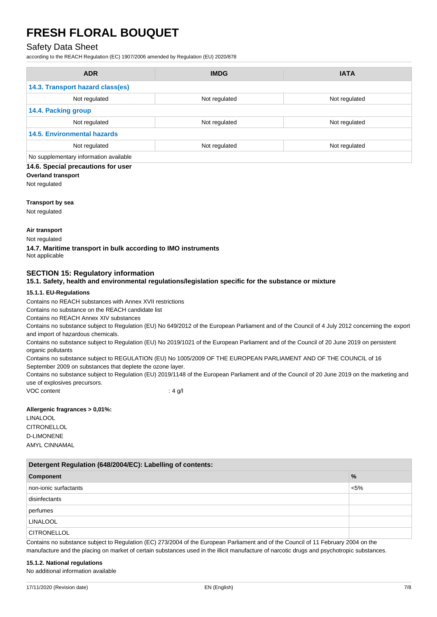# Safety Data Sheet

according to the REACH Regulation (EC) 1907/2006 amended by Regulation (EU) 2020/878

| <b>ADR</b>                             | <b>IMDG</b>   | <b>IATA</b>   |
|----------------------------------------|---------------|---------------|
| 14.3. Transport hazard class(es)       |               |               |
| Not regulated                          | Not regulated | Not regulated |
| 14.4. Packing group                    |               |               |
| Not regulated                          | Not regulated | Not regulated |
| <b>14.5. Environmental hazards</b>     |               |               |
| Not regulated                          | Not regulated | Not regulated |
| No supplementary information available |               |               |

#### **14.6. Special precautions for user**

**Overland transport**

Not regulated

#### **Transport by sea**

Not regulated

#### **Air transport**

Not regulated

**14.7. Maritime transport in bulk according to IMO instruments** Not applicable

## **SECTION 15: Regulatory information**

**15.1. Safety, health and environmental regulations/legislation specific for the substance or mixture**

#### **15.1.1. EU-Regulations**

Contains no REACH substances with Annex XVII restrictions

Contains no substance on the REACH candidate list

Contains no REACH Annex XIV substances

Contains no substance subject to Regulation (EU) No 649/2012 of the European Parliament and of the Council of 4 July 2012 concerning the export and import of hazardous chemicals.

Contains no substance subject to Regulation (EU) No 2019/1021 of the European Parliament and of the Council of 20 June 2019 on persistent organic pollutants

Contains no substance subject to REGULATION (EU) No 1005/2009 OF THE EUROPEAN PARLIAMENT AND OF THE COUNCIL of 16 September 2009 on substances that deplete the ozone layer.

Contains no substance subject to Regulation (EU) 2019/1148 of the European Parliament and of the Council of 20 June 2019 on the marketing and use of explosives precursors.

VOC content : 4 g/l

#### **Allergenic fragrances > 0,01%:**

LINALOOL **CITRONELLOL** D-LIMONENE AMYL CINNAMAL

| Detergent Regulation (648/2004/EC): Labelling of contents: |               |  |
|------------------------------------------------------------|---------------|--|
| Component                                                  | $\frac{9}{6}$ |  |
| non-ionic surfactants                                      | $< 5\%$       |  |
| disinfectants                                              |               |  |
| perfumes                                                   |               |  |
| <b>LINALOOL</b>                                            |               |  |
| <b>CITRONELLOL</b>                                         |               |  |

Contains no substance subject to Regulation (EC) 273/2004 of the European Parliament and of the Council of 11 February 2004 on the manufacture and the placing on market of certain substances used in the illicit manufacture of narcotic drugs and psychotropic substances.

#### **15.1.2. National regulations**

No additional information available